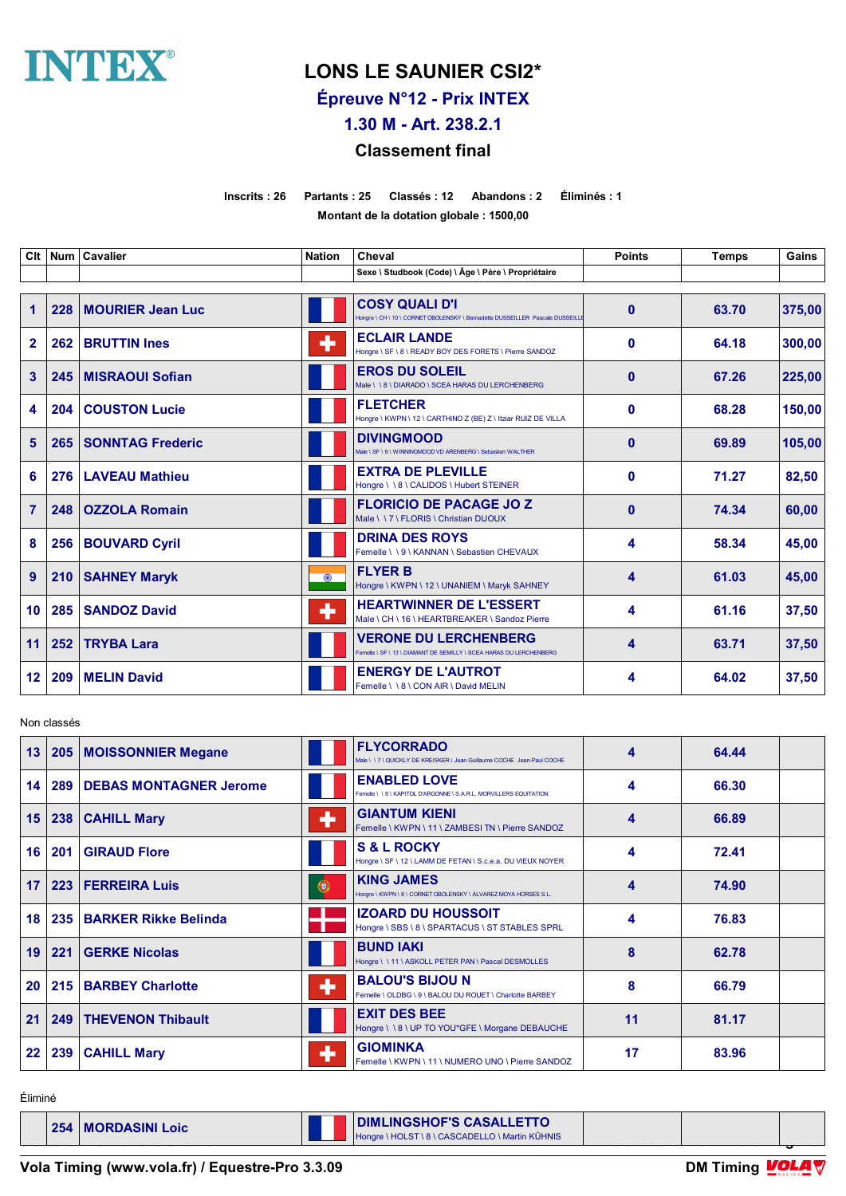

# **LONS LE SAUNIER CSI2\***

**Épreuve N°12 - Prix INTEX**

**1.30 M - Art. 238.2.1**

### **Classement final**

**Inscrits : 26 Partants : 25 Classés : 12 Abandons : 2 Éliminés : 1 Montant de la dotation globale : 1500,00**

| Clt            | <b>Num</b> | Cavalier                | <b>Nation</b> | Cheval                                                                                                | <b>Points</b> | <b>Temps</b> | Gains  |
|----------------|------------|-------------------------|---------------|-------------------------------------------------------------------------------------------------------|---------------|--------------|--------|
|                |            |                         |               | Sexe \ Studbook (Code) \ Âge \ Père \ Propriétaire                                                    |               |              |        |
| $\mathbf{1}$   | 228        | <b>MOURIER Jean Luc</b> |               | <b>COSY QUALI D'I</b><br>Hongre \ CH \ 10 \ CORNET OBOLENSKY \ Bernadette DUSSEILLER Pascale DUSSEILL | $\mathbf{0}$  | 63.70        | 375,00 |
| $\mathbf{2}$   | 262        | <b>BRUTTIN Ines</b>     | ٠             | <b>ECLAIR LANDE</b><br>Hongre \ SF \ 8 \ READY BOY DES FORETS \ Pierre SANDOZ                         | $\mathbf 0$   | 64.18        | 300,00 |
| $\mathbf{3}$   | 245        | <b>MISRAOUI Sofian</b>  |               | <b>EROS DU SOLEIL</b><br>Male \\8\DIARADO\SCEA HARAS DU LERCHENBERG                                   | $\mathbf{0}$  | 67.26        | 225,00 |
| 4              | 204        | <b>COUSTON Lucie</b>    |               | <b>FLETCHER</b><br>Hongre \ KWPN \ 12 \ CARTHINO Z (BE) Z \ Itziar RUIZ DE VILLA                      | $\mathbf 0$   | 68.28        | 150.00 |
| 5              | 265        | <b>SONNTAG Frederic</b> |               | <b>DIVINGMOOD</b><br>Vale \ SF \ 9 \ WINNINGMOOD VD ARENBERG \ Sebastien WALTHER                      | $\mathbf{0}$  | 69.89        | 105,00 |
| 6              |            | 276   LAVEAU Mathieu    |               | <b>EXTRA DE PLEVILLE</b><br>Hongre \\8\CALIDOS\Hubert STEINER                                         | $\mathbf{0}$  | 71.27        | 82,50  |
| $\overline{7}$ | 248        | <b>OZZOLA Romain</b>    |               | <b>FLORICIO DE PACAGE JO Z</b><br>Male \ \ 7 \ FLORIS \ Christian DIJOUX                              | $\mathbf{0}$  | 74.34        | 60,00  |
| 8              | 256        | <b>BOUVARD Cyril</b>    |               | <b>DRINA DES ROYS</b><br>Femelle \\9\KANNAN\Sebastien CHEVAUX                                         | 4             | 58.34        | 45,00  |
| 9              | 210        | <b>SAHNEY Maryk</b>     | $\odot$       | <b>FLYER B</b><br>Hongre \ KWPN \ 12 \ UNANIEM \ Maryk SAHNEY                                         | 4             | 61.03        | 45,00  |
| 10             | 285        | <b>SANDOZ David</b>     | ÷             | <b>HEARTWINNER DE L'ESSERT</b><br>Male \ CH \ 16 \ HEARTBREAKER \ Sandoz Pierre                       | 4             | 61.16        | 37,50  |
| 11             | 252        | <b>TRYBA Lara</b>       |               | <b>VERONE DU LERCHENBERG</b><br>Femelle \ SF \ 13 \ DIAMANT DE SEMILLY \ SCEA HARAS DU LERCHENBERG    | 4             | 63.71        | 37,50  |
| 12             | 209        | <b>MELIN David</b>      |               | <b>ENERGY DE L'AUTROT</b><br>Femelle \ \ 8 \ CON AIR \ David MELIN                                    | 4             | 64.02        | 37,50  |

Non classés

| 13              |     | 205   MOISSONNIER Megane      |   | <b>FLYCORRADO</b><br>Male \\7\QUICKLY DE KREISKER\Jean Guillaume COCHE Jean-Paul COCHE | 4  | 64.44 |  |
|-----------------|-----|-------------------------------|---|----------------------------------------------------------------------------------------|----|-------|--|
| 14              | 289 | <b>DEBAS MONTAGNER Jerome</b> |   | <b>ENABLED LOVE</b><br>Femelle \\8\KAPITOL D'ARGONNE\S.A.R.L. MORVILLERS EQUITATION    | 4  | 66.30 |  |
| 15              | 238 | <b>CAHILL Mary</b>            | ۰ | <b>GIANTUM KIENI</b><br>Femelle \ KWPN \ 11 \ ZAMBESI TN \ Pierre SANDOZ               | 4  | 66.89 |  |
| 16 <sup>1</sup> | 201 | <b>GIRAUD Flore</b>           |   | <b>S &amp; L ROCKY</b><br>Hongre \ SF \ 12 \ LAMM DE FETAN \ S.c.e.a. DU VIEUX NOYER   | 4  | 72.41 |  |
| 17              | 223 | <b>FERREIRA Luis</b>          | 0 | <b>KING JAMES</b><br>Hongre \ KWPN \ 8 \ CORNET OBOLENSKY \ ALVAREZ MOYA HORSES S.L.   | 4  | 74.90 |  |
| 18              | 235 | <b>BARKER Rikke Belinda</b>   |   | <b>IZOARD DU HOUSSOIT</b><br>Hongre \ SBS \ 8 \ SPARTACUS \ ST STABLES SPRL            | 4  | 76.83 |  |
| 19              | 221 | <b>GERKE Nicolas</b>          |   | <b>BUND IAKI</b><br>Hongre \\11\ASKOLL PETER PAN\Pascal DESMOLLES                      | 8  | 62.78 |  |
| 20              | 215 | <b>BARBEY Charlotte</b>       | ٠ | <b>BALOU'S BIJOU N</b><br>Femelle \ OLDBG \ 9 \ BALOU DU ROUET \ Charlotte BARBEY      | 8  | 66.79 |  |
| 21              | 249 | <b>THEVENON Thibault</b>      |   | <b>EXIT DES BEE</b><br>Hongre \ \ 8 \ UP TO YOU*GFE \ Morgane DEBAUCHE                 | 11 | 81.17 |  |
| 22              | 239 | <b>CAHILL Mary</b>            | ۰ | <b>GIOMINKA</b><br>Femelle \ KWPN \ 11 \ NUMERO UNO \ Pierre SANDOZ                    | 17 | 83.96 |  |

Éliminé

**1254 | MORDASINI Loic | Longre | PAGE 11:16 | PAGE 11:16 | PAGE 11:16 | PAGE 11:16 | PAGE 11:16 | PAGE 11:16 | PAGE 11:16 | PAGE 11:16 | PAGE 11:16 | PAGE 11:16 | PAGE 11:16 | PAGE 11:16 | PAGE 11:16 | PAGE 11:16 | PAGE**